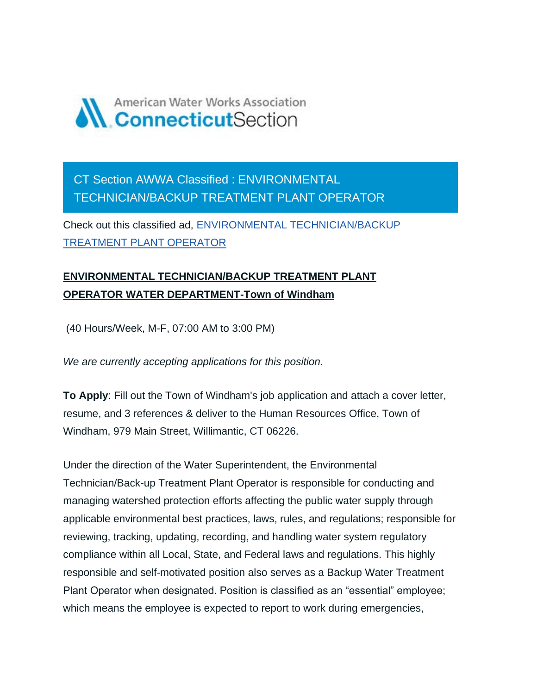

CT Section AWWA Classified : ENVIRONMENTAL TECHNICIAN/BACKUP TREATMENT PLANT OPERATOR

Check out this classified ad, [ENVIRONMENTAL TECHNICIAN/BACKUP](https://ctawwa.org/ad-click.php?record_number=373&url=classifieds.php?record_number=373&source=email)  [TREATMENT PLANT OPERATOR](https://ctawwa.org/ad-click.php?record_number=373&url=classifieds.php?record_number=373&source=email)

## **ENVIRONMENTAL TECHNICIAN/BACKUP TREATMENT PLANT OPERATOR WATER DEPARTMENT-Town of Windham**

(40 Hours/Week, M-F, 07:00 AM to 3:00 PM)

*We are currently accepting applications for this position.*

**To Apply**: Fill out the Town of Windham's job application and attach a cover letter, resume, and 3 references & deliver to the Human Resources Office, Town of Windham, 979 Main Street, Willimantic, CT 06226.

Under the direction of the Water Superintendent, the Environmental Technician/Back-up Treatment Plant Operator is responsible for conducting and managing watershed protection efforts affecting the public water supply through applicable environmental best practices, laws, rules, and regulations; responsible for reviewing, tracking, updating, recording, and handling water system regulatory compliance within all Local, State, and Federal laws and regulations. This highly responsible and self-motivated position also serves as a Backup Water Treatment Plant Operator when designated. Position is classified as an "essential" employee; which means the employee is expected to report to work during emergencies,